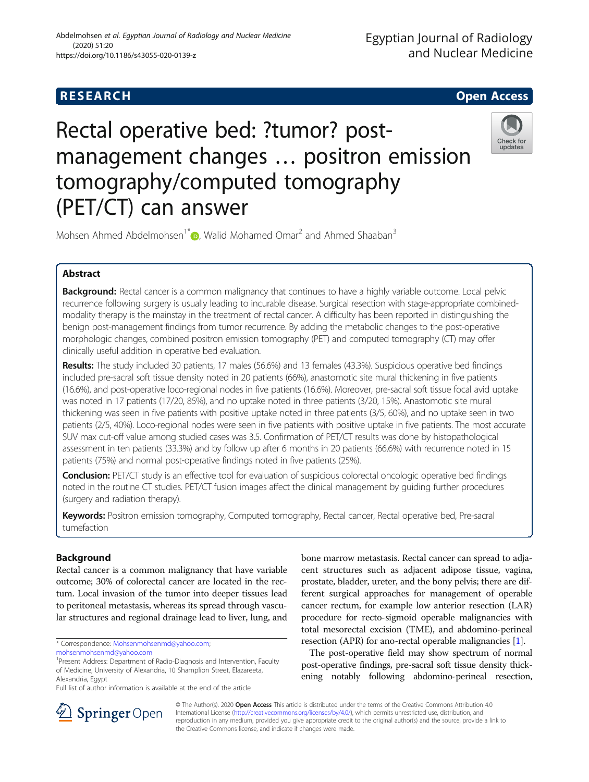# **RESEARCH CHILD CONTROL** CONTROL CONTROL CONTROL CONTROL CONTROL CONTROL CONTROL CONTROL CONTROL CONTROL CONTROL

# Rectal operative bed: ?tumor? postmanagement changes … positron emission tomography/computed tomography (PET/CT) can answer



Mohsen Ahmed Abdelmohsen<sup>1\*</sup>  $\bullet$ , Walid Mohamed Omar<sup>2</sup> and Ahmed Shaaban<sup>3</sup>

# Abstract

Background: Rectal cancer is a common malignancy that continues to have a highly variable outcome. Local pelvic recurrence following surgery is usually leading to incurable disease. Surgical resection with stage-appropriate combinedmodality therapy is the mainstay in the treatment of rectal cancer. A difficulty has been reported in distinguishing the benign post-management findings from tumor recurrence. By adding the metabolic changes to the post-operative morphologic changes, combined positron emission tomography (PET) and computed tomography (CT) may offer clinically useful addition in operative bed evaluation.

Results: The study included 30 patients, 17 males (56.6%) and 13 females (43.3%). Suspicious operative bed findings included pre-sacral soft tissue density noted in 20 patients (66%), anastomotic site mural thickening in five patients (16.6%), and post-operative loco-regional nodes in five patients (16.6%). Moreover, pre-sacral soft tissue focal avid uptake was noted in 17 patients (17/20, 85%), and no uptake noted in three patients (3/20, 15%). Anastomotic site mural thickening was seen in five patients with positive uptake noted in three patients (3/5, 60%), and no uptake seen in two patients (2/5, 40%). Loco-regional nodes were seen in five patients with positive uptake in five patients. The most accurate SUV max cut-off value among studied cases was 3.5. Confirmation of PET/CT results was done by histopathological assessment in ten patients (33.3%) and by follow up after 6 months in 20 patients (66.6%) with recurrence noted in 15 patients (75%) and normal post-operative findings noted in five patients (25%).

**Conclusion:** PET/CT study is an effective tool for evaluation of suspicious colorectal oncologic operative bed findings noted in the routine CT studies. PET/CT fusion images affect the clinical management by guiding further procedures (surgery and radiation therapy).

Keywords: Positron emission tomography, Computed tomography, Rectal cancer, Rectal operative bed, Pre-sacral tumefaction

# Background

Rectal cancer is a common malignancy that have variable outcome; 30% of colorectal cancer are located in the rectum. Local invasion of the tumor into deeper tissues lead to peritoneal metastasis, whereas its spread through vascular structures and regional drainage lead to liver, lung, and

\* Correspondence: [Mohsenmohsenmd@yahoo.com;](mailto:Mohsenmohsenmd@yahoo.com)

bone marrow metastasis. Rectal cancer can spread to adjacent structures such as adjacent adipose tissue, vagina, prostate, bladder, ureter, and the bony pelvis; there are different surgical approaches for management of operable cancer rectum, for example low anterior resection (LAR) procedure for recto-sigmoid operable malignancies with total mesorectal excision (TME), and abdomino-perineal resection (APR) for ano-rectal operable malignancies [[1](#page-4-0)].

The post-operative field may show spectrum of normal post-operative findings, pre-sacral soft tissue density thickening notably following abdomino-perineal resection,



© The Author(s). 2020 Open Access This article is distributed under the terms of the Creative Commons Attribution 4.0 International License ([http://creativecommons.org/licenses/by/4.0/\)](http://creativecommons.org/licenses/by/4.0/), which permits unrestricted use, distribution, and reproduction in any medium, provided you give appropriate credit to the original author(s) and the source, provide a link to the Creative Commons license, and indicate if changes were made.

[mohsenmohsenmd@yahoo.com](mailto:mohsenmohsenmd@yahoo.com)

<sup>&</sup>lt;sup>1</sup> Present Address: Department of Radio-Diagnosis and Intervention, Faculty of Medicine, University of Alexandria, 10 Shamplion Street, Elazareeta, Alexandria, Egypt

Full list of author information is available at the end of the article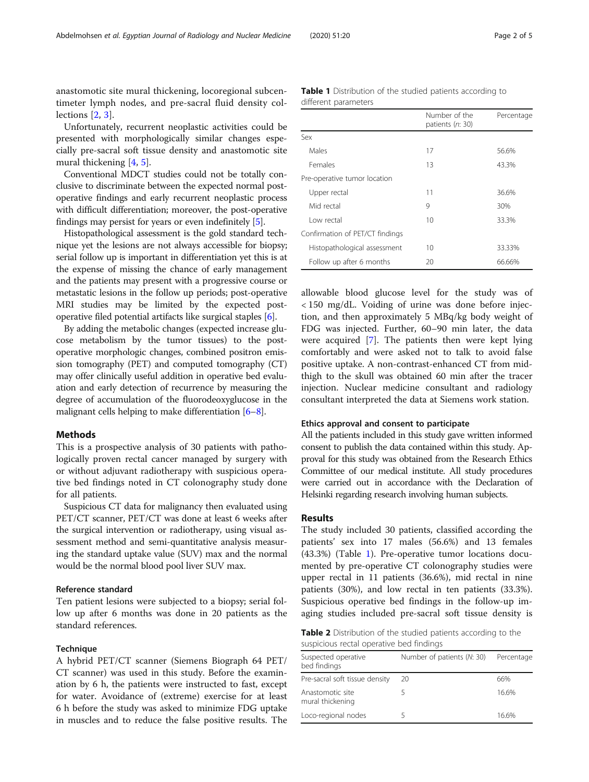<span id="page-1-0"></span>anastomotic site mural thickening, locoregional subcentimeter lymph nodes, and pre-sacral fluid density collections [[2](#page-4-0), [3](#page-4-0)].

Unfortunately, recurrent neoplastic activities could be presented with morphologically similar changes especially pre-sacral soft tissue density and anastomotic site mural thickening [[4,](#page-4-0) [5\]](#page-4-0).

Conventional MDCT studies could not be totally conclusive to discriminate between the expected normal postoperative findings and early recurrent neoplastic process with difficult differentiation; moreover, the post-operative findings may persist for years or even indefinitely [\[5](#page-4-0)].

Histopathological assessment is the gold standard technique yet the lesions are not always accessible for biopsy; serial follow up is important in differentiation yet this is at the expense of missing the chance of early management and the patients may present with a progressive course or metastatic lesions in the follow up periods; post-operative MRI studies may be limited by the expected postoperative filed potential artifacts like surgical staples [\[6](#page-4-0)].

By adding the metabolic changes (expected increase glucose metabolism by the tumor tissues) to the postoperative morphologic changes, combined positron emission tomography (PET) and computed tomography (CT) may offer clinically useful addition in operative bed evaluation and early detection of recurrence by measuring the degree of accumulation of the fluorodeoxyglucose in the malignant cells helping to make differentiation [\[6](#page-4-0)–[8\]](#page-4-0).

#### Methods

This is a prospective analysis of 30 patients with pathologically proven rectal cancer managed by surgery with or without adjuvant radiotherapy with suspicious operative bed findings noted in CT colonography study done for all patients.

Suspicious CT data for malignancy then evaluated using PET/CT scanner, PET/CT was done at least 6 weeks after the surgical intervention or radiotherapy, using visual assessment method and semi-quantitative analysis measuring the standard uptake value (SUV) max and the normal would be the normal blood pool liver SUV max.

#### Reference standard

Ten patient lesions were subjected to a biopsy; serial follow up after 6 months was done in 20 patients as the standard references.

#### Technique

A hybrid PET/CT scanner (Siemens Biograph 64 PET/ CT scanner) was used in this study. Before the examination by 6 h, the patients were instructed to fast, except for water. Avoidance of (extreme) exercise for at least 6 h before the study was asked to minimize FDG uptake in muscles and to reduce the false positive results. The

Table 1 Distribution of the studied patients according to different parameters

|                                 | Number of the<br>patients (n: 30) | Percentage |
|---------------------------------|-----------------------------------|------------|
| Sex                             |                                   |            |
| Males                           | 17                                | 56.6%      |
| Females                         | 13                                | 43.3%      |
| Pre-operative tumor location    |                                   |            |
| Upper rectal                    | 11                                | 36.6%      |
| Mid rectal                      | 9                                 | 30%        |
| I ow rectal                     | 10                                | 33.3%      |
| Confirmation of PET/CT findings |                                   |            |
| Histopathological assessment    | 10                                | 33.33%     |
| Follow up after 6 months        | 20                                | 66.66%     |

allowable blood glucose level for the study was of < 150 mg/dL. Voiding of urine was done before injection, and then approximately 5 MBq/kg body weight of FDG was injected. Further, 60–90 min later, the data were acquired [\[7\]](#page-4-0). The patients then were kept lying comfortably and were asked not to talk to avoid false positive uptake. A non-contrast-enhanced CT from midthigh to the skull was obtained 60 min after the tracer injection. Nuclear medicine consultant and radiology consultant interpreted the data at Siemens work station.

#### Ethics approval and consent to participate

All the patients included in this study gave written informed consent to publish the data contained within this study. Approval for this study was obtained from the Research Ethics Committee of our medical institute. All study procedures were carried out in accordance with the Declaration of Helsinki regarding research involving human subjects.

#### Results

The study included 30 patients, classified according the patients' sex into 17 males (56.6%) and 13 females (43.3%) (Table 1). Pre-operative tumor locations documented by pre-operative CT colonography studies were upper rectal in 11 patients (36.6%), mid rectal in nine patients (30%), and low rectal in ten patients (33.3%). Suspicious operative bed findings in the follow-up imaging studies included pre-sacral soft tissue density is

Table 2 Distribution of the studied patients according to the suspicious rectal operative bed findings

| Suspected operative<br>bed findings  | Number of patients (N: 30) | Percentage |
|--------------------------------------|----------------------------|------------|
| Pre-sacral soft tissue density       | 20                         | 66%        |
| Anastomotic site<br>mural thickening |                            | 16.6%      |
| Loco-regional nodes                  |                            | 16.6%      |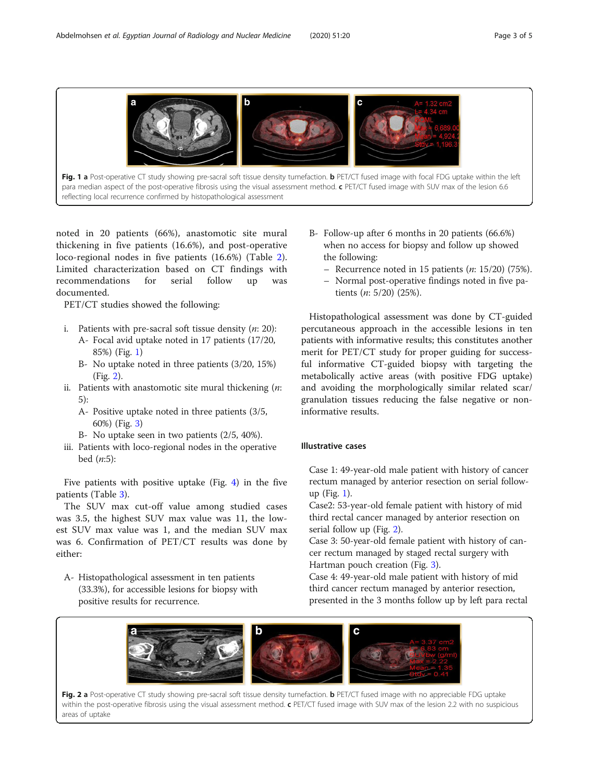<span id="page-2-0"></span>

noted in 20 patients (66%), anastomotic site mural thickening in five patients (16.6%), and post-operative loco-regional nodes in five patients (16.6%) (Table [2](#page-1-0)). Limited characterization based on CT findings with recommendations for serial follow up was documented.

PET/CT studies showed the following:

- i. Patients with pre-sacral soft tissue density  $(n: 20)$ : A- Focal avid uptake noted in 17 patients (17/20,
	- 85%) (Fig. 1)
	- B- No uptake noted in three patients (3/20, 15%) (Fig. 2).
- ii. Patients with anastomotic site mural thickening  $(n:$ 5):
	- A- Positive uptake noted in three patients (3/5, 60%) (Fig. [3](#page-3-0))
	- B- No uptake seen in two patients (2/5, 40%).
- iii. Patients with loco-regional nodes in the operative bed  $(n:5)$ :

Five patients with positive uptake (Fig. [4\)](#page-3-0) in the five patients (Table [3\)](#page-4-0).

The SUV max cut-off value among studied cases was 3.5, the highest SUV max value was 11, the lowest SUV max value was 1, and the median SUV max was 6. Confirmation of PET/CT results was done by either:

A- Histopathological assessment in ten patients (33.3%), for accessible lesions for biopsy with positive results for recurrence.

- B- Follow-up after 6 months in 20 patients (66.6%) when no access for biopsy and follow up showed the following:
	- Recurrence noted in 15 patients  $(n: 15/20)$  (75%).
	- Normal post-operative findings noted in five patients (n: 5/20) (25%).

Histopathological assessment was done by CT-guided percutaneous approach in the accessible lesions in ten patients with informative results; this constitutes another merit for PET/CT study for proper guiding for successful informative CT-guided biopsy with targeting the metabolically active areas (with positive FDG uptake) and avoiding the morphologically similar related scar/ granulation tissues reducing the false negative or noninformative results.

### Illustrative cases

Case 1: 49-year-old male patient with history of cancer rectum managed by anterior resection on serial followup (Fig. 1).

Case2: 53-year-old female patient with history of mid third rectal cancer managed by anterior resection on serial follow up (Fig. 2).

Case 3: 50-year-old female patient with history of cancer rectum managed by staged rectal surgery with Hartman pouch creation (Fig. [3\)](#page-3-0).

Case 4: 49-year-old male patient with history of mid third cancer rectum managed by anterior resection, presented in the 3 months follow up by left para rectal



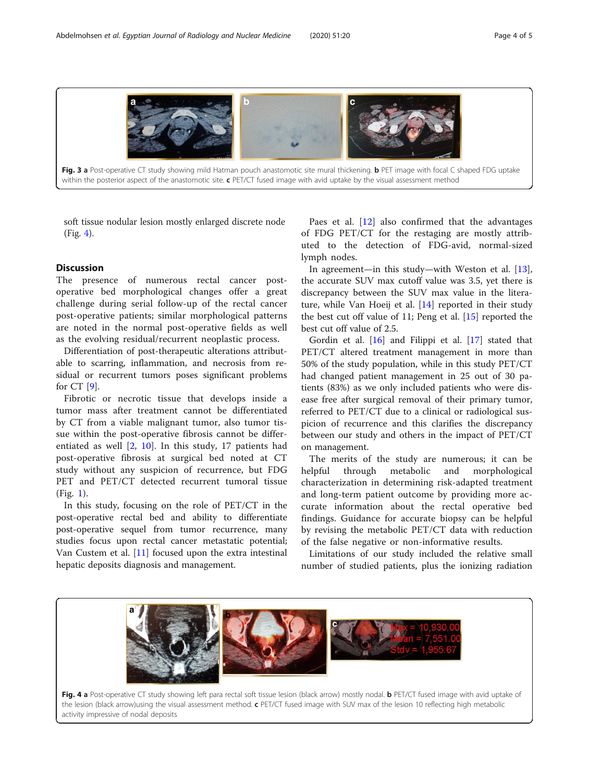<span id="page-3-0"></span>

Fig. 3 a Post-operative CT study showing mild Hatman pouch anastomotic site mural thickening. b PET image with focal C shaped FDG uptake within the posterior aspect of the anastomotic site.  $c$  PET/CT fused image with avid uptake by the visual assessment method

soft tissue nodular lesion mostly enlarged discrete node (Fig. 4).

#### **Discussion**

The presence of numerous rectal cancer postoperative bed morphological changes offer a great challenge during serial follow-up of the rectal cancer post-operative patients; similar morphological patterns are noted in the normal post-operative fields as well as the evolving residual/recurrent neoplastic process.

Differentiation of post-therapeutic alterations attributable to scarring, inflammation, and necrosis from residual or recurrent tumors poses significant problems for CT [[9\]](#page-4-0).

Fibrotic or necrotic tissue that develops inside a tumor mass after treatment cannot be differentiated by CT from a viable malignant tumor, also tumor tissue within the post-operative fibrosis cannot be differentiated as well [\[2](#page-4-0), [10\]](#page-4-0). In this study, 17 patients had post-operative fibrosis at surgical bed noted at CT study without any suspicion of recurrence, but FDG PET and PET/CT detected recurrent tumoral tissue (Fig. [1\)](#page-2-0).

In this study, focusing on the role of PET/CT in the post-operative rectal bed and ability to differentiate post-operative sequel from tumor recurrence, many studies focus upon rectal cancer metastatic potential; Van Custem et al. [[11\]](#page-4-0) focused upon the extra intestinal hepatic deposits diagnosis and management.

Paes et al. [[12\]](#page-4-0) also confirmed that the advantages of FDG PET/CT for the restaging are mostly attributed to the detection of FDG-avid, normal-sized lymph nodes.

In agreement—in this study—with Weston et al. [\[13](#page-4-0)], the accurate SUV max cutoff value was 3.5, yet there is discrepancy between the SUV max value in the literature, while Van Hoeij et al. [[14](#page-4-0)] reported in their study the best cut off value of 11; Peng et al. [\[15](#page-4-0)] reported the best cut off value of 2.5.

Gordin et al. [[16\]](#page-4-0) and Filippi et al. [\[17](#page-4-0)] stated that PET/CT altered treatment management in more than 50% of the study population, while in this study PET/CT had changed patient management in 25 out of 30 patients (83%) as we only included patients who were disease free after surgical removal of their primary tumor, referred to PET/CT due to a clinical or radiological suspicion of recurrence and this clarifies the discrepancy between our study and others in the impact of PET/CT on management.

The merits of the study are numerous; it can be helpful through metabolic and morphological characterization in determining risk-adapted treatment and long-term patient outcome by providing more accurate information about the rectal operative bed findings. Guidance for accurate biopsy can be helpful by revising the metabolic PET/CT data with reduction of the false negative or non-informative results.

Limitations of our study included the relative small number of studied patients, plus the ionizing radiation